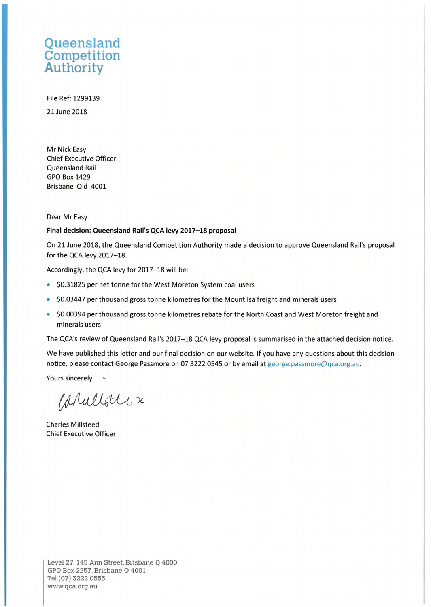### **Oueensland** Competition Authority

File Ref: 1299139 21 June 2018

Mr Nick Easy Chief Executive Officer Queensland Rail GPO Box 1429 Brisbane Qld 4001

#### Dear Mr Easy

#### **Final decision: Queensland Rail's QCA levy 2017-18 proposal**

On 21 June 2018, the Queensland Competition Authority made <sup>a</sup> decision to approve Queensland Rail's proposal for the QCA levy 2017-18.

Accordingly, the QCA levy for 2017-18 will be:

- \$0.31825 per net tonne for the West Moreton System coal users
- \$0.03447 per thousand gross tonne kilometres for the Mount Isa freight and minerals users
- \$0.00394 per thousand gross tonne kilometres rebate for the North Coast and West Moreton freight and minerals users

The QCA's review of Queensland Rail's 2017-18 QCA levy proposal is summarised in the attached decision notice.

We have published this letter and our final decision on our website. If you have any questions about this decision notice, please contact George Passmore on 07 3222 0545 or by email at [george.passmore@qca.org.au](mailto:george.passmore@qca.org.au).

Yours sincerely

Carallote x

Charles Millsteed Chief Executive Officer

**Level 27,145 Ann Street, Brisbane Q 4000 GPO Box 2257, Brisbane Q 4001 Tel (07) 3222 0555 [www.qca.org.au](http://www.qca.org.au)**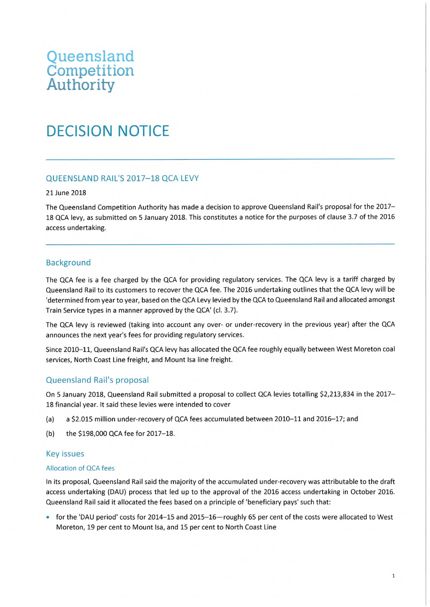## **Queensland Competition Authority**

# DECISION NOTICE

#### QUEENSLAND RAIL'S 2017-18 QCA LEVY

#### 21 June 2018

The Queensland Competition Authority has made <sup>a</sup> decision to approve Queensland Rail's proposal for the 2017- 18 QCA levy, as submitted on 5 January 2018. This constitutes <sup>a</sup> notice for the purposes of clause 3.7 of the 2016 access undertaking.

#### Background

The QCA fee is <sup>a</sup> fee charged by the QCA for providing regulatory services. The QCA levy is <sup>a</sup> tariff charged by Queensland Rail to its customers to recover the QCA fee. The 2016 undertaking outlines that the QCA levy will be 'determined from year to year, based on the QCA Levy levied by the QCA to Queensland Rail and allocated amongst Train Service types in a manner approved by the QCA' (cl. 3.7).

The QCA levy is reviewed (taking into account any over- or under-recovery in the previous year) after the QCA announces the next year's fees for providing regulatory services.

Since 2010-11, Queensland Rail's QCA levy has allocated the QCA fee roughly equally between West Moreton coal services, North Coast Line freight, and Mount Isa line freight.

#### Queensland Rail's proposal

On 5 January 2018, Queensland Rail submitted a proposal to collect QCA levies totalling \$2,213,834 in the 2017- 18 financial year. It said these levies were intended to cover

- (a) a \$2,015 million under-recovery of QCA fees accumulated between 2010-11 and 2016-17; and
- (b) the \$198,000 QCA fee for 2017-18.

#### Key issues

#### Allocation of QCA fees

In its proposal, Queensland Rail said the majority of the accumulated under-recovery was attributable to the draft access undertaking (DAU) process that led up to the approval of the 2016 access undertaking in October 2016. Queensland Rail said it allocated the fees based on <sup>a</sup> principle of 'beneficiary pays' such that:

• for the 'DAU period' costs for 2014-15 and 2015-16—roughly 65 per cent of the costs were allocated to West Moreton, 19 per cent to Mount Isa, and 15 per cent to North Coast Line

l